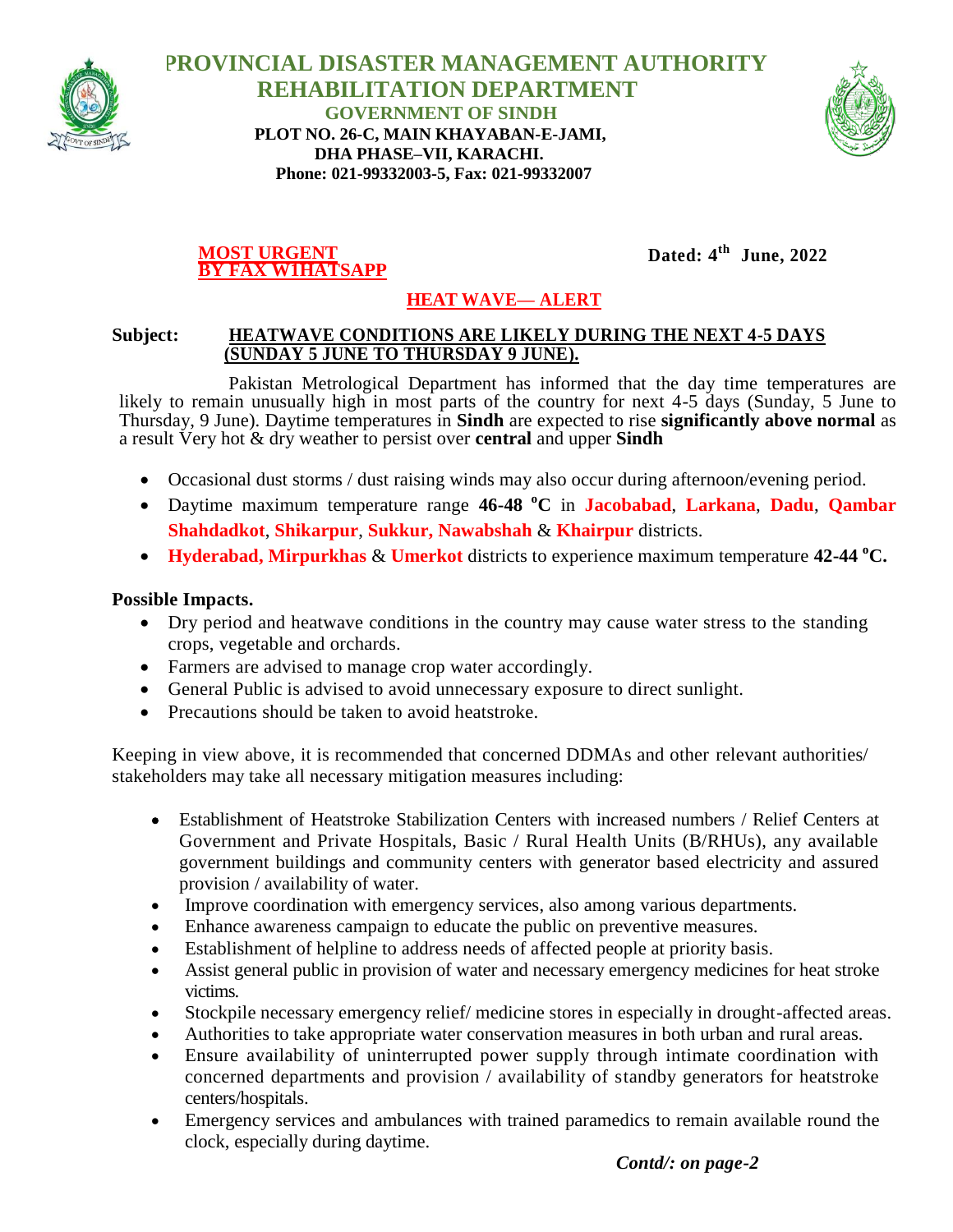

 **PROVINCIAL DISASTER MANAGEMENT AUTHORITY REHABILITATION DEPARTMENT GOVERNMENT OF SINDH PLOT NO. 26-C, MAIN KHAYABAN-E-JAMI, DHA PHASE–VII, KARACHI. Phone: 021-99332003-5, Fax: 021-99332007**



### **MOST URGENT BY FAX W1HATSAPP**

**Dated: 4 th June, 2022**

# **HEAT WAVE— ALERT**

## **Subject: HEATWAVE CONDITIONS ARE LIKELY DURING THE NEXT 4-5 DAYS (SUNDAY 5 JUNE TO THURSDAY 9 JUNE).**

Pakistan Metrological Department has informed that the day time temperatures are likely to remain unusually high in most parts of the country for next 4-5 days (Sunday, 5 June to Thursday, 9 June). Daytime temperatures in **Sindh** are expected to rise **significantly above normal** as a result Very hot & dry weather to persist over **central** and upper **Sindh**

- Occasional dust storms / dust raising winds may also occur during afternoon/evening period.
- Daytime maximum temperature range **46-48 <sup>o</sup>C** in **Jacobabad**, **Larkana**, **Dadu**, **Qambar Shahdadkot**, **Shikarpur**, **Sukkur, Nawabshah** & **Khairpur** districts.
- **Hyderabad, Mirpurkhas** & **Umerkot** districts to experience maximum temperature **42-44 <sup>o</sup>C.**

### **Possible Impacts.**

- Dry period and heatwave conditions in the country may cause water stress to the standing crops, vegetable and orchards.
- Farmers are advised to manage crop water accordingly.
- General Public is advised to avoid unnecessary exposure to direct sunlight.
- Precautions should be taken to avoid heatstroke.

Keeping in view above, it is recommended that concerned DDMAs and other relevant authorities/ stakeholders may take all necessary mitigation measures including:

- Establishment of Heatstroke Stabilization Centers with increased numbers / Relief Centers at Government and Private Hospitals, Basic / Rural Health Units (B/RHUs), any available government buildings and community centers with generator based electricity and assured provision / availability of water.
- Improve coordination with emergency services, also among various departments.
- Enhance awareness campaign to educate the public on preventive measures.
- Establishment of helpline to address needs of affected people at priority basis.
- Assist general public in provision of water and necessary emergency medicines for heat stroke victims.
- Stockpile necessary emergency relief/ medicine stores in especially in drought-affected areas.
- Authorities to take appropriate water conservation measures in both urban and rural areas.
- Ensure availability of uninterrupted power supply through intimate coordination with concerned departments and provision / availability of standby generators for heatstroke centers/hospitals.
- Emergency services and ambulances with trained paramedics to remain available round the clock, especially during daytime.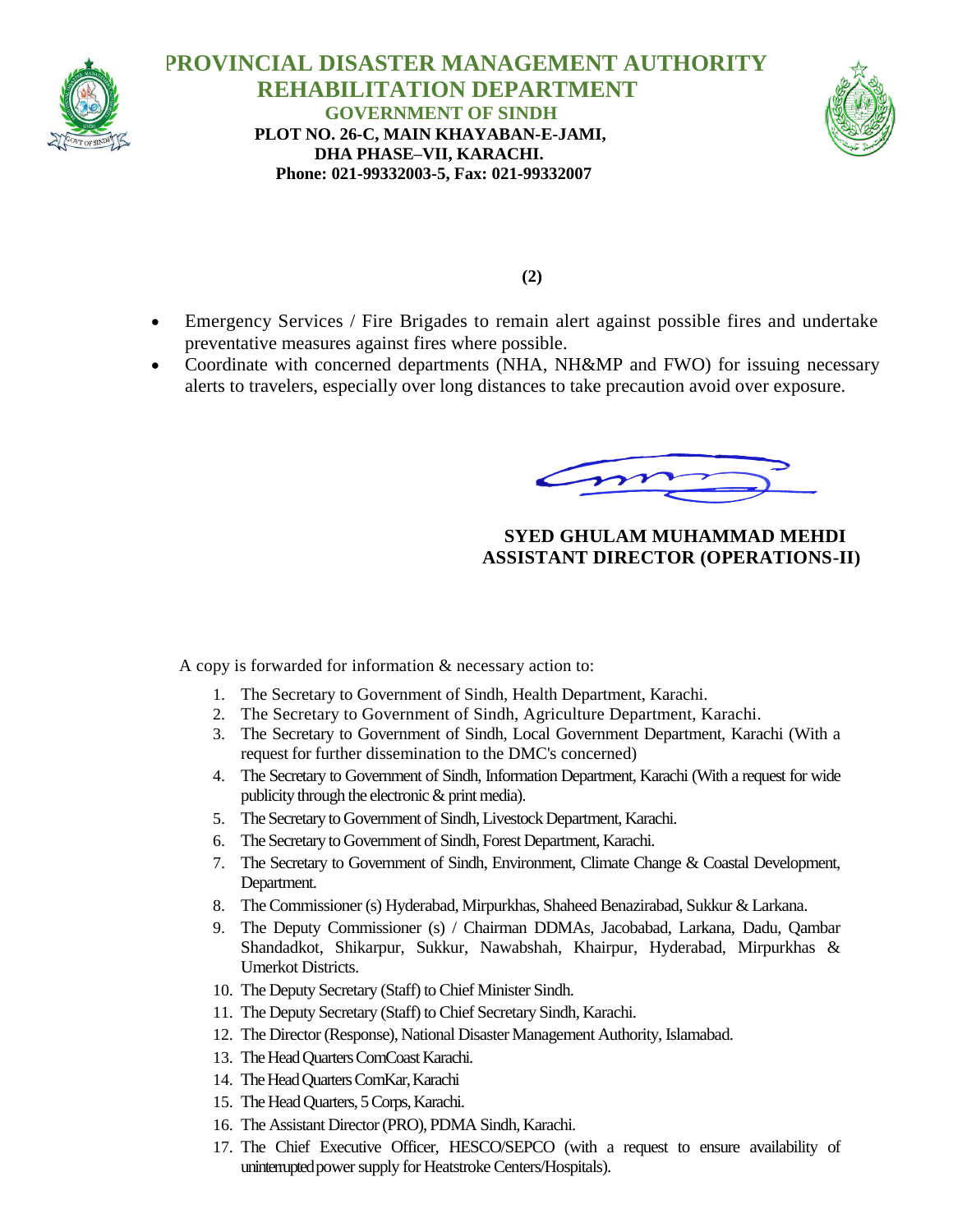

 **PROVINCIAL DISASTER MANAGEMENT AUTHORITY REHABILITATION DEPARTMENT GOVERNMENT OF SINDH PLOT NO. 26-C, MAIN KHAYABAN-E-JAMI, DHA PHASE–VII, KARACHI. Phone: 021-99332003-5, Fax: 021-99332007**



**(2)**

- Emergency Services / Fire Brigades to remain alert against possible fires and undertake preventative measures against fires where possible.
- Coordinate with concerned departments (NHA, NH&MP and FWO) for issuing necessary alerts to travelers, especially over long distances to take precaution avoid over exposure.

# **SYED GHULAM MUHAMMAD MEHDI ASSISTANT DIRECTOR (OPERATIONS-II)**

A copy is forwarded for information & necessary action to:

- 1. The Secretary to Government of Sindh, Health Department, Karachi.
- 2. The Secretary to Government of Sindh, Agriculture Department, Karachi.
- 3. The Secretary to Government of Sindh, Local Government Department, Karachi (With a request for further dissemination to the DMC's concerned)
- 4. The Secretary to Government of Sindh, Information Department, Karachi (With a request for wide publicity through the electronic & print media).
- 5. The Secretary to Government of Sindh, Livestock Department, Karachi.
- 6. The Secretary to Government of Sindh, Forest Department, Karachi.
- 7. The Secretary to Government of Sindh, Environment, Climate Change & Coastal Development, Department.
- 8. The Commissioner (s) Hyderabad, Mirpurkhas, Shaheed Benazirabad, Sukkur & Larkana.
- 9. The Deputy Commissioner (s) / Chairman DDMAs, Jacobabad, Larkana, Dadu, Qambar Shandadkot, Shikarpur, Sukkur, Nawabshah, Khairpur, Hyderabad, Mirpurkhas & Umerkot Districts.
- 10. The Deputy Secretary (Staff) to Chief Minister Sindh.
- 11. The Deputy Secretary (Staff) to Chief Secretary Sindh, Karachi.
- 12. The Director (Response), National Disaster Management Authority, Islamabad.
- 13. The Head Quarters ComCoast Karachi.
- 14. The Head Quarters ComKar, Karachi
- 15. The Head Quarters, 5 Corps, Karachi.
- 16. The Assistant Director (PRO), PDMA Sindh, Karachi.
- 17. The Chief Executive Officer, HESCO/SEPCO (with a request to ensure availability of uninterrupted power supply for Heatstroke Centers/Hospitals).